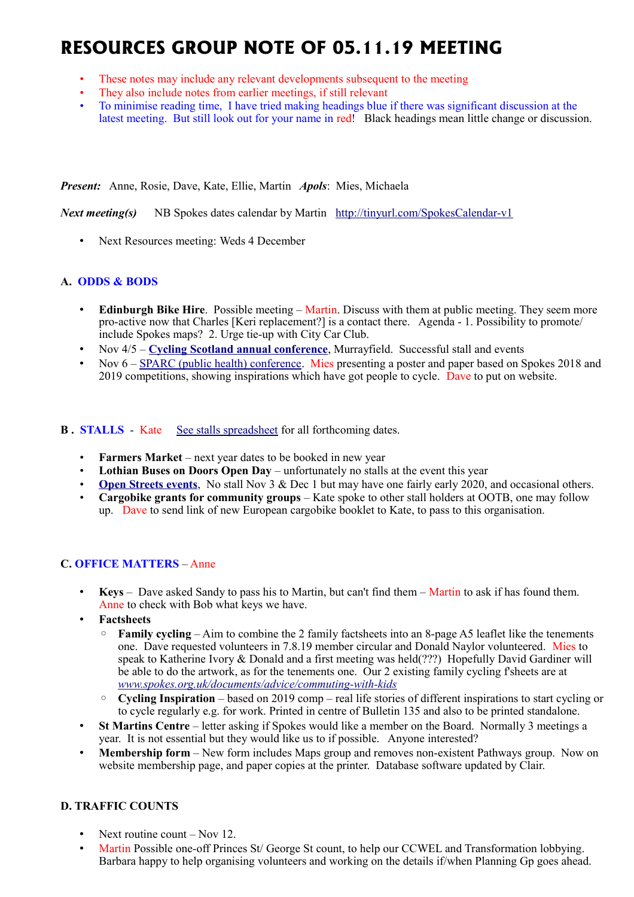# **RESOURCES GROUP NOTE OF 05.11.19 MEETING**

- These notes may include any relevant developments subsequent to the meeting
- They also include notes from earlier meetings, if still relevant
- To minimise reading time, I have tried making headings blue if there was significant discussion at the latest meeting. But still look out for your name in red! Black headings mean little change or discussion.

*Present:* Anne, Rosie, Dave, Kate, Ellie, Martin *Apols*: Mies, Michaela

*Next meeting(s)*NB Spokes dates calendar by Martin <http://tinyurl.com/SpokesCalendar-v1>

• Next Resources meeting: Weds 4 December

## **A. ODDS & BODS**

- **Edinburgh Bike Hire**. Possible meeting Martin. Discuss with them at public meeting. They seem more pro-active now that Charles [Keri replacement?] is a contact there. Agenda - 1. Possibility to promote/ include Spokes maps? 2. Urge tie-up with City Car Club.
- Nov 4/5 **[Cycling Scotland annual conference](https://www.cycling.scot/cycling-scotland-conference)**, Murrayfield. Successful stall and events
- Nov 6 – [SPARC \(public health\) conference.](http://www.sparc.education.ed.ac.uk/conference-2019/) Mies presenting a poster and paper based on Spokes 2018 and 2019 competitions, showing inspirations which have got people to cycle. Dave to put on website.

**B.** STALLS - Kate [See stalls spreadsheet](https://docs.google.com/spreadsheets/d/1ixmHbC_ROc0P1GdGfFFx5hFzYwe4wZuTg5QcqDY7yWQ/edit?usp=drivesdk) for all forthcoming dates.

- **Farmers Market** next year dates to be booked in new year
- **Lothian Buses on Doors Open Day** unfortunately no stalls at the event this year
- **[Open Streets events](http://www.edinburgh.gov.uk/connectingplaces/info/9/consultation/20/open_streets_consultation).** No stall Nov 3 & Dec 1 but may have one fairly early 2020, and occasional others.
- **Cargobike grants for community groups** Kate spoke to other stall holders at OOTB, one may follow up. Dave to send link of new European cargobike booklet to Kate, to pass to this organisation.

## **C. OFFICE MATTERS** – Anne

- **Keys** Dave asked Sandy to pass his to Martin, but can't find them Martin to ask if has found them. Anne to check with Bob what keys we have.
- **Factsheets**
	- **Family cycling** Aim to combine the 2 family factsheets into an 8-page A5 leaflet like the tenements one. Dave requested volunteers in 7.8.19 member circular and Donald Naylor volunteered. Mies to speak to Katherine Ivory & Donald and a first meeting was held(???) Hopefully David Gardiner will be able to do the artwork, as for the tenements one. Our 2 existing family cycling f'sheets are at *[www.spokes.org.uk/documents/advice/commuting-with-kids](http://www.spokes.org.uk/documents/advice/commuting-with-kids)*
	- **Cycling Inspiration** based on 2019 comp real life stories of different inspirations to start cycling or to cycle regularly e.g. for work. Printed in centre of Bulletin 135 and also to be printed standalone.
- **St Martins Centre** letter asking if Spokes would like a member on the Board. Normally 3 meetings a year. It is not essential but they would like us to if possible. Anyone interested?
- **Membership form** New form includes Maps group and removes non-existent Pathways group. Now on website membership page, and paper copies at the printer. Database software updated by Clair.

## **D. TRAFFIC COUNTS**

- Next routine count Nov 12.
- Martin Possible one-off Princes St/ George St count, to help our CCWEL and Transformation lobbying. Barbara happy to help organising volunteers and working on the details if/when Planning Gp goes ahead.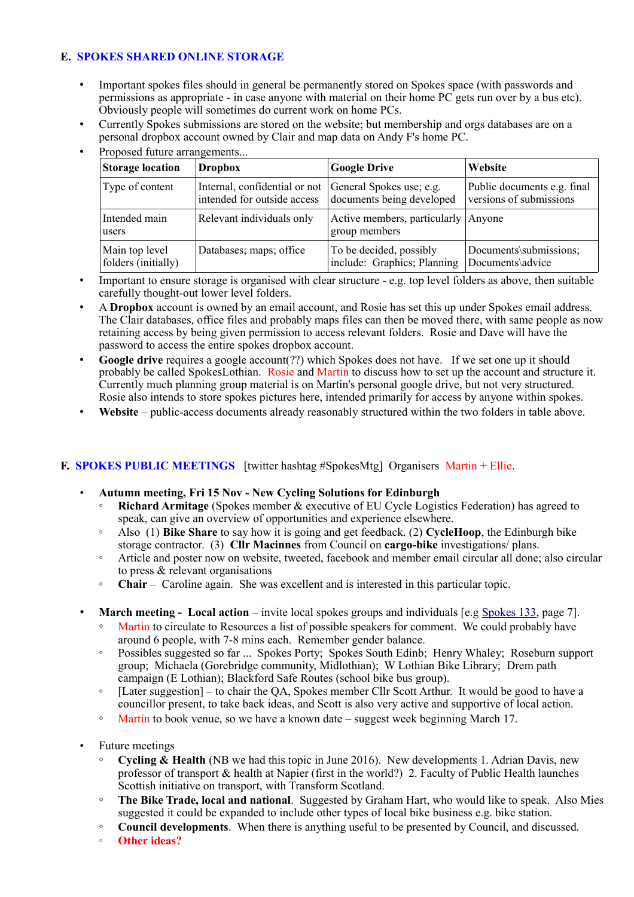# **E. SPOKES SHARED ONLINE STORAGE**

- Important spokes files should in general be permanently stored on Spokes space (with passwords and permissions as appropriate - in case anyone with material on their home PC gets run over by a bus etc). Obviously people will sometimes do current work on home PCs.
- Currently Spokes submissions are stored on the website; but membership and orgs databases are on a personal dropbox account owned by Clair and map data on Andy F's home PC.

| <b>Storage location</b> | <b>Dropbox</b>                | <b>Google Drive</b>                                    | Website                     |
|-------------------------|-------------------------------|--------------------------------------------------------|-----------------------------|
| Type of content         | Internal, confidential or not | General Spokes use; e.g.                               | Public documents e.g. final |
|                         | intended for outside access   | documents being developed                              | versions of submissions     |
| Intended main<br>users  | Relevant individuals only     | Active members, particularly   Anyone<br>group members |                             |
| Main top level          | Databases; maps; office       | To be decided, possibly                                | Documents\submissions;      |
| folders (initially)     |                               | include: Graphics; Planning                            | Documents\advice            |

Proposed future arrangements.

- Important to ensure storage is organised with clear structure e.g. top level folders as above, then suitable carefully thought-out lower level folders.
- A **Dropbox** account is owned by an email account, and Rosie has set this up under Spokes email address. The Clair databases, office files and probably maps files can then be moved there, with same people as now retaining access by being given permission to access relevant folders. Rosie and Dave will have the password to access the entire spokes dropbox account.
- Google drive requires a google account(??) which Spokes does not have. If we set one up it should probably be called SpokesLothian. Rosie and Martin to discuss how to set up the account and structure it. Currently much planning group material is on Martin's personal google drive, but not very structured. Rosie also intends to store spokes pictures here, intended primarily for access by anyone within spokes.
- Website public-access documents already reasonably structured within the two folders in table above.

## **F. SPOKES PUBLIC MEETINGS** [twitter hashtag #SpokesMtg] Organisers Martin + Ellie.

- **Autumn meeting, Fri 15 Nov New Cycling Solutions for Edinburgh**
	- **Richard Armitage** (Spokes member & executive of EU Cycle Logistics Federation) has agreed to speak, can give an overview of opportunities and experience elsewhere.
	- Also (1) **Bike Share** to say how it is going and get feedback. (2) **CycleHoop**, the Edinburgh bike storage contractor. (3) **Cllr Macinnes** from Council on **cargo-bike** investigations/ plans.
	- Article and poster now on website, tweeted, facebook and member email circular all done; also circular to press & relevant organisations
	- **Chair** Caroline again. She was excellent and is interested in this particular topic.
- **March meeting Local action** invite local spokes groups and individuals [e.g [Spokes 133,](http://www.spokes.org.uk/wp-content/uploads/2019/02/pall-at-95.pdf) page 7].
	- Martin to circulate to Resources a list of possible speakers for comment. We could probably have around 6 people, with 7-8 mins each. Remember gender balance.
	- Possibles suggested so far ... Spokes Porty; Spokes South Edinb; Henry Whaley; Roseburn support group; Michaela (Gorebridge community, Midlothian); W Lothian Bike Library; Drem path campaign (E Lothian); Blackford Safe Routes (school bike bus group).
	- [Later suggestion] to chair the QA, Spokes member Cllr Scott Arthur. It would be good to have a councillor present, to take back ideas, and Scott is also very active and supportive of local action.
	- Martin to book venue, so we have a known date suggest week beginning March 17.
- Future meetings
	- **Cycling & Health** (NB we had this topic in June 2016). New developments 1. Adrian Davis, new professor of transport & health at Napier (first in the world?) 2. Faculty of Public Health launches Scottish initiative on transport, with Transform Scotland.
	- **The Bike Trade, local and national**. Suggested by Graham Hart, who would like to speak. Also Mies suggested it could be expanded to include other types of local bike business e.g. bike station.
	- **Council developments**. When there is anything useful to be presented by Council, and discussed.
	- **Other ideas?**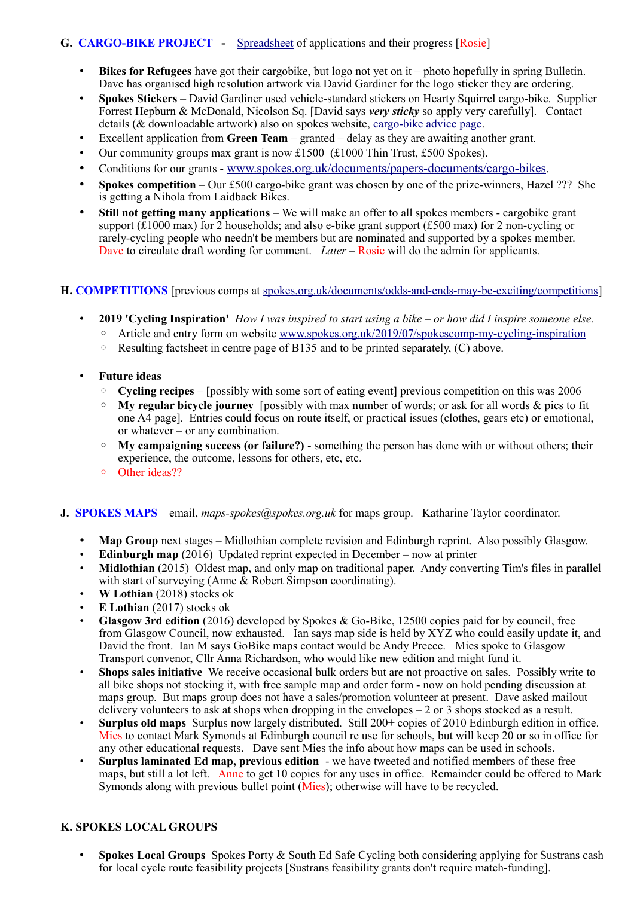# **G. CARGO-BIKE PROJECT** - [Spreadsheet](https://drive.google.com/drive/folders/1BuWIrWRXwrDyFuw-nDA8n9ms37oAeKwH) of applications and their progress [Rosie]

- **Bikes for Refugees** have got their cargobike, but logo not yet on it photo hopefully in spring Bulletin. Dave has organised high resolution artwork via David Gardiner for the logo sticker they are ordering.
- **Spokes Stickers** David Gardiner used vehicle-standard stickers on Hearty Squirrel cargo-bike. Supplier Forrest Hepburn & McDonald, Nicolson Sq. [David says *very sticky* so apply very carefully]. Contact details (& downloadable artwork) also on spokes website, [cargo-bike advice page.](http://www.spokes.org.uk/documents/advice/cargo-bikes/)
- Excellent application from **Green Team** granted delay as they are awaiting another grant.
- Our community groups max grant is now  $\text{\pounds}1500$  ( $\text{\pounds}1000$  Thin Trust,  $\text{\pounds}500$  Spokes).
- Conditions for our grants [www.spokes.org.uk/documents/papers-documents/cargo-bikes](http://www.spokes.org.uk/documents/papers-documents/cargo-bikes).
- **Spokes competition** Our £500 cargo-bike grant was chosen by one of the prize-winners, Hazel ??? She is getting a Nihola from Laidback Bikes.
- **Still not getting many applications** We will make an offer to all spokes members cargobike grant support ( $\tilde{\text{E}}1000$  max) for 2 households; and also e-bike grant support (£500 max) for 2 non-cycling or rarely-cycling people who needn't be members but are nominated and supported by a spokes member. Dave to circulate draft wording for comment. *Later* – Rosie will do the admin for applicants.

## **H. COMPETITIONS** [previous comps at [spokes.org.uk/documents/odds-and-ends-may-be-exciting/competitions\]](http://www.spokes.org.uk/documents/odds-and-ends-may-be-exciting/competitions/)

- **2019 'Cycling Inspiration'** *How I was inspired to start using a bike or how did I inspire someone else.* 
	- Article and entry form on website [www.spokes.org.uk/2019/07/spokescomp-my-cycling-inspiration](http://www.spokes.org.uk/2019/07/spokescomp-my-cycling-inspiration/)
	- Resulting factsheet in centre page of B135 and to be printed separately, (C) above.
- **Future ideas**
	- **Cycling recipes** [possibly with some sort of eating event] previous competition on this was 2006
	- **My regular bicycle journey** [possibly with max number of words; or ask for all words & pics to fit one A4 page]. Entries could focus on route itself, or practical issues (clothes, gears etc) or emotional, or whatever – or any combination.
	- **My campaigning success (or failure?)** something the person has done with or without others; their experience, the outcome, lessons for others, etc, etc.
	- Other ideas??

#### **J. SPOKES MAPS** email, *maps-spokes@spokes.org.uk* for maps group. Katharine Taylor coordinator.

- **Map Group** next stages Midlothian complete revision and Edinburgh reprint. Also possibly Glasgow.
- **Edinburgh map** (2016) Updated reprint expected in December now at printer
- **Midlothian** (2015) Oldest map, and only map on traditional paper. Andy converting Tim's files in parallel with start of surveying (Anne  $\&$  Robert Simpson coordinating).
- **W Lothian** (2018) stocks ok
- **E Lothian** (2017) stocks ok
- **Glasgow 3rd edition** (2016) developed by Spokes & Go-Bike, 12500 copies paid for by council, free from Glasgow Council, now exhausted. Ian says map side is held by XYZ who could easily update it, and David the front. Ian M says GoBike maps contact would be Andy Preece. Mies spoke to Glasgow Transport convenor, Cllr Anna Richardson, who would like new edition and might fund it.
- **Shops sales initiative** We receive occasional bulk orders but are not proactive on sales. Possibly write to all bike shops not stocking it, with free sample map and order form - now on hold pending discussion at maps group. But maps group does not have a sales/promotion volunteer at present. Dave asked mailout delivery volunteers to ask at shops when dropping in the envelopes  $-2$  or  $3$  shops stocked as a result.
- **Surplus old maps** Surplus now largely distributed. Still 200+ copies of 2010 Edinburgh edition in office. Mies to contact Mark Symonds at Edinburgh council re use for schools, but will keep 20 or so in office for any other educational requests. Dave sent Mies the info about how maps can be used in schools.
- **Surplus laminated Ed map, previous edition** we have tweeted and notified members of these free maps, but still a lot left. Anne to get 10 copies for any uses in office. Remainder could be offered to Mark Symonds along with previous bullet point (Mies); otherwise will have to be recycled.

#### **K. SPOKES LOCAL GROUPS**

• **Spokes Local Groups** Spokes Porty & South Ed Safe Cycling both considering applying for Sustrans cash for local cycle route feasibility projects [Sustrans feasibility grants don't require match-funding].